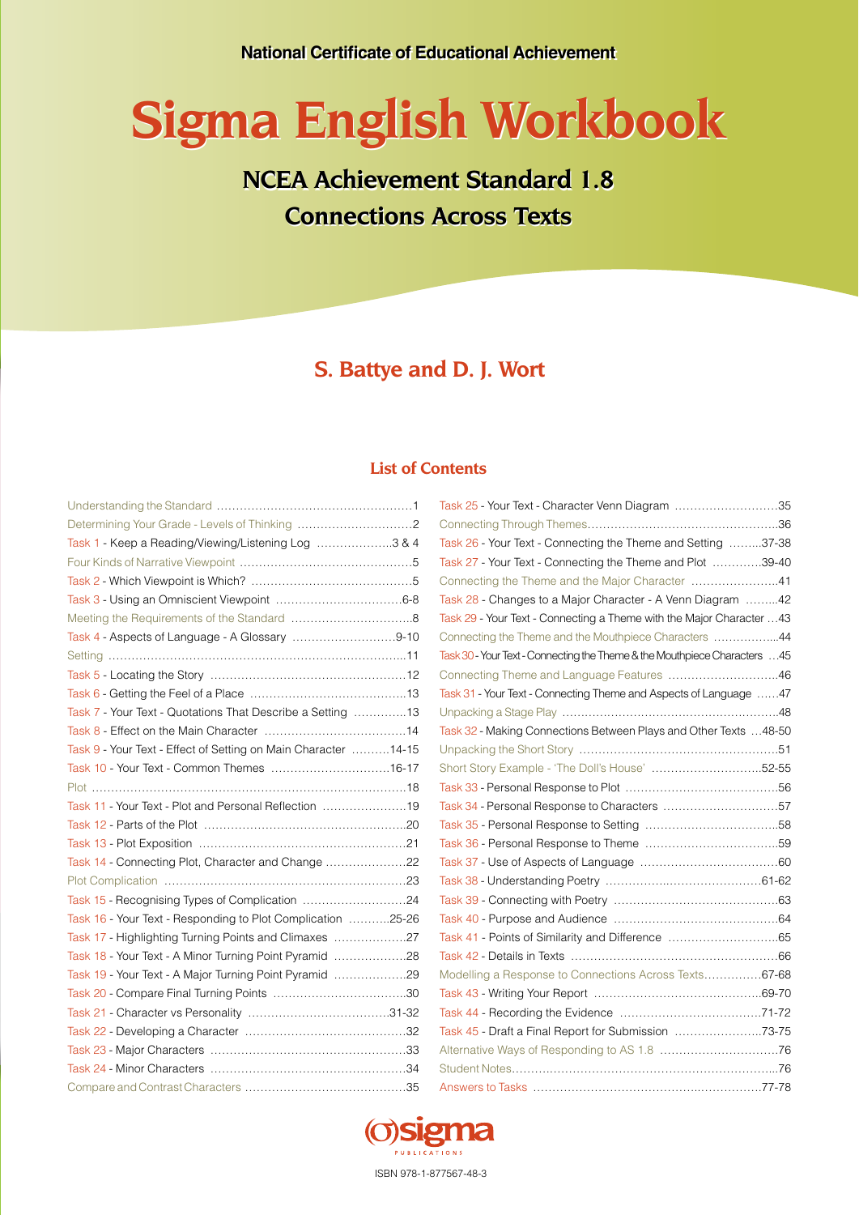# **Sigma English Workbook Sigma English Workbook**

**NCEA Achievement Standard 1.8 NCEA Achievement Standard 1.8 Connections Across Texts Connections Across Texts**

### **S. Battye and D. J. Wort**

### **List of Contents**

|                                                                | Task 25 - Your Text - Character Venn Diagram 35                            |
|----------------------------------------------------------------|----------------------------------------------------------------------------|
|                                                                |                                                                            |
| Task 1 - Keep a Reading/Viewing/Listening Log 3 & 4            | Task 26 - Your Text - Connecting the Theme and Setting 37-38               |
|                                                                | Task 27 - Your Text - Connecting the Theme and Plot 39-40                  |
|                                                                | Connecting the Theme and the Major Character 41                            |
|                                                                | Task 28 - Changes to a Major Character - A Venn Diagram 42                 |
|                                                                | Task 29 - Your Text - Connecting a Theme with the Major Character  43      |
| Task 4 - Aspects of Language - A Glossary 9-10                 | Connecting the Theme and the Mouthpiece Characters 44                      |
|                                                                | Task 30 - Your Text - Connecting the Theme & the Mouthpiece Characters  45 |
|                                                                | Connecting Theme and Language Features 46                                  |
|                                                                | Task 31 - Your Text - Connecting Theme and Aspects of Language  47         |
| Task 7 - Your Text - Quotations That Describe a Setting 13     |                                                                            |
|                                                                | Task 32 - Making Connections Between Plays and Other Texts  48-50          |
| Task 9 - Your Text - Effect of Setting on Main Character 14-15 |                                                                            |
| Task 10 - Your Text - Common Themes 16-17                      | Short Story Example - 'The Doll's House' 52-55                             |
|                                                                |                                                                            |
| Task 11 - Your Text - Plot and Personal Reflection 19          | Task 34 - Personal Response to Characters 57                               |
|                                                                |                                                                            |
|                                                                |                                                                            |
| Task 14 - Connecting Plot, Character and Change 22             |                                                                            |
|                                                                |                                                                            |
| Task 15 - Recognising Types of Complication 24                 |                                                                            |
| Task 16 - Your Text - Responding to Plot Complication 25-26    |                                                                            |
| Task 17 - Highlighting Turning Points and Climaxes 27          |                                                                            |
| Task 18 - Your Text - A Minor Turning Point Pyramid 28         |                                                                            |
| Task 19 - Your Text - A Major Turning Point Pyramid 29         | Modelling a Response to Connections Across Texts67-68                      |
|                                                                |                                                                            |
|                                                                |                                                                            |
|                                                                | Task 45 - Draft a Final Report for Submission 73-75                        |
|                                                                |                                                                            |
|                                                                |                                                                            |
|                                                                |                                                                            |

| Task 25 - Your Text - Character Venn Diagram 35                            |  |
|----------------------------------------------------------------------------|--|
|                                                                            |  |
| Task 26 - Your Text - Connecting the Theme and Setting 37-38               |  |
| Task 27 - Your Text - Connecting the Theme and Plot 39-40                  |  |
| Connecting the Theme and the Major Character 41                            |  |
| Task 28 - Changes to a Major Character - A Venn Diagram 42                 |  |
| Task 29 - Your Text - Connecting a Theme with the Major Character 43       |  |
| Connecting the Theme and the Mouthpiece Characters 44                      |  |
| Task 30 - Your Text - Connecting the Theme & the Mouthpiece Characters  45 |  |
| Connecting Theme and Language Features 46                                  |  |
| Task 31 - Your Text - Connecting Theme and Aspects of Language 47          |  |
|                                                                            |  |
| Task 32 - Making Connections Between Plays and Other Texts 48-50           |  |
|                                                                            |  |
| Short Story Example - 'The Doll's House' 52-55                             |  |
|                                                                            |  |
| Task 34 - Personal Response to Characters 57                               |  |
|                                                                            |  |
|                                                                            |  |
|                                                                            |  |
|                                                                            |  |
|                                                                            |  |
|                                                                            |  |
| Task 41 - Points of Similarity and Difference 65                           |  |
|                                                                            |  |
| Modelling a Response to Connections Across Texts67-68                      |  |
|                                                                            |  |
|                                                                            |  |
| Task 45 - Draft a Final Report for Submission 73-75                        |  |
|                                                                            |  |
|                                                                            |  |
|                                                                            |  |



ISBN 978-1-877567-48-3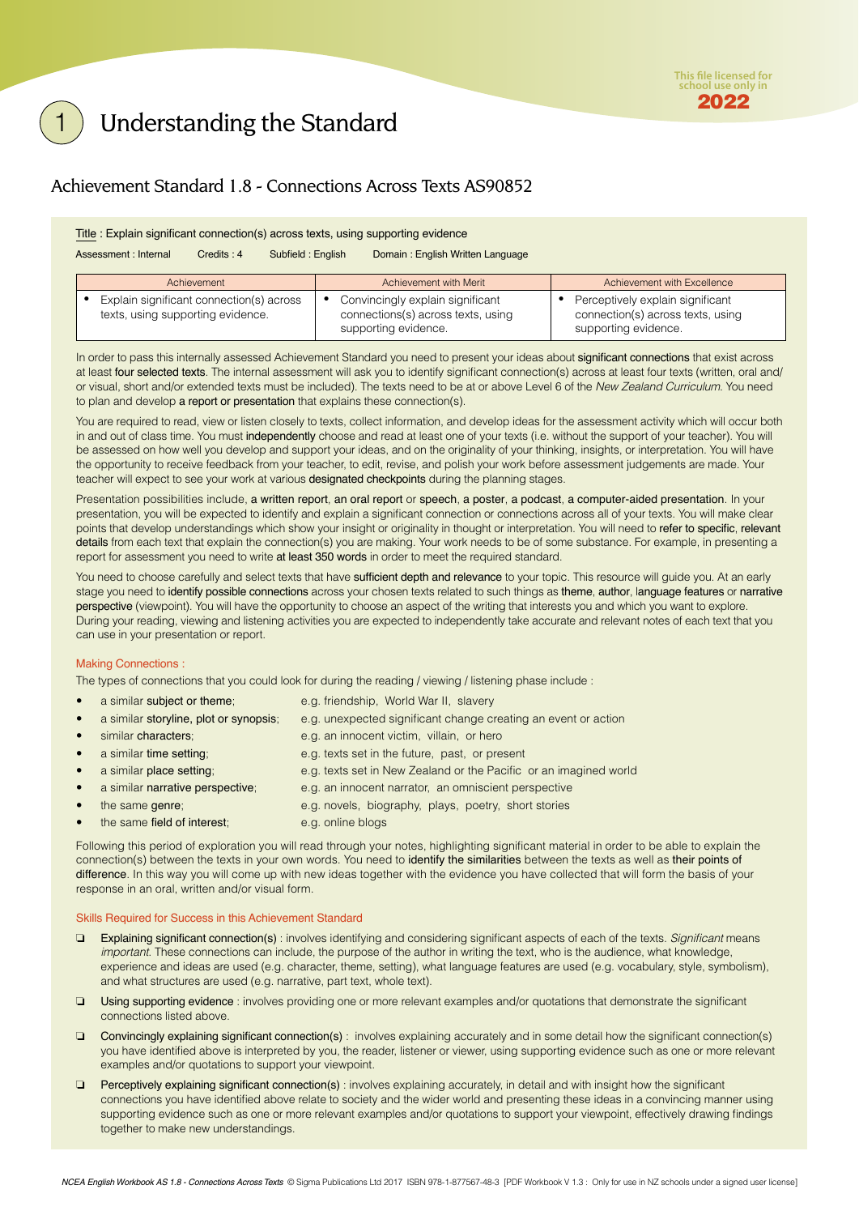### <span id="page-1-0"></span>Understanding the Standard

### Achievement Standard 1.8 - Connections Across Texts AS90852

#### Title : Explain significant connection(s) across texts, using supporting evidence

Assessment : Internal Credits : 4 Subfield : English Domain : English Written Language

| Achievement                                                                   | Achievement with Merit                                                                         | Achievement with Excellence                                                                   |
|-------------------------------------------------------------------------------|------------------------------------------------------------------------------------------------|-----------------------------------------------------------------------------------------------|
| Explain significant connection(s) across<br>texts, using supporting evidence. | Convincingly explain significant<br>connections(s) across texts, using<br>supporting evidence. | Perceptively explain significant<br>connection(s) across texts, using<br>supporting evidence. |

In order to pass this internally assessed Achievement Standard you need to present your ideas about significant connections that exist across at least four selected texts. The internal assessment will ask you to identify significant connection(s) across at least four texts (written, oral and/ or visual, short and/or extended texts must be included). The texts need to be at or above Level 6 of the *New Zealand Curriculum*. You need to plan and develop a report or presentation that explains these connection(s).

You are required to read, view or listen closely to texts, collect information, and develop ideas for the assessment activity which will occur both in and out of class time. You must independently choose and read at least one of your texts (i.e. without the support of your teacher). You will be assessed on how well you develop and support your ideas, and on the originality of your thinking, insights, or interpretation. You will have the opportunity to receive feedback from your teacher, to edit, revise, and polish your work before assessment judgements are made. Your teacher will expect to see your work at various designated checkpoints during the planning stages.

Presentation possibilities include, a written report, an oral report or speech, a poster, a podcast, a computer-aided presentation. In your presentation, you will be expected to identify and explain a significant connection or connections across all of your texts. You will make clear points that develop understandings which show your insight or originality in thought or interpretation. You will need to refer to specific, relevant details from each text that explain the connection(s) you are making. Your work needs to be of some substance. For example, in presenting a report for assessment you need to write at least 350 words in order to meet the required standard.

You need to choose carefully and select texts that have sufficient depth and relevance to your topic. This resource will guide you. At an early stage you need to identify possible connections across your chosen texts related to such things as theme, author, language features or narrative perspective (viewpoint). You will have the opportunity to choose an aspect of the writing that interests you and which you want to explore. During your reading, viewing and listening activities you are expected to independently take accurate and relevant notes of each text that you can use in your presentation or report.

#### Making Connections :

The types of connections that you could look for during the reading / viewing / listening phase include :

- a similar subject or theme; e.g. friendship, World War II, slavery a similar storyline, plot or synopsis; e.g. unexpected significant change creating an event or action similar characters; e.g. an innocent victim, villain, or hero a similar time setting; e.g. texts set in the future, past, or present a similar place setting; e.g. texts set in New Zealand or the Pacific or an imagined world a similar narrative perspective; e.g. an innocent narrator, an omniscient perspective
- - the same genre; e.g. novels, biography, plays, poetry, short stories
- the same field of interest; e.g. online blogs

Following this period of exploration you will read through your notes, highlighting significant material in order to be able to explain the connection(s) between the texts in your own words. You need to identify the similarities between the texts as well as their points of difference. In this way you will come up with new ideas together with the evidence you have collected that will form the basis of your response in an oral, written and/or visual form.

#### Skills Required for Success in this Achievement Standard

- ❏ Explaining significant connection(s) : involves identifying and considering significant aspects of each of the texts. *Significant* means *important*. These connections can include, the purpose of the author in writing the text, who is the audience, what knowledge, experience and ideas are used (e.g. character, theme, setting), what language features are used (e.g. vocabulary, style, symbolism), and what structures are used (e.g. narrative, part text, whole text).
- ❏ Using supporting evidence : involves providing one or more relevant examples and/or quotations that demonstrate the significant connections listed above.
- ❏ Convincingly explaining significant connection(s) : involves explaining accurately and in some detail how the significant connection(s) you have identified above is interpreted by you, the reader, listener or viewer, using supporting evidence such as one or more relevant examples and/or quotations to support your viewpoint.
- ❏ Perceptively explaining significant connection(s) : involves explaining accurately, in detail and with insight how the significant connections you have identified above relate to society and the wider world and presenting these ideas in a convincing manner using supporting evidence such as one or more relevant examples and/or quotations to support your viewpoint, effectively drawing findings together to make new understandings.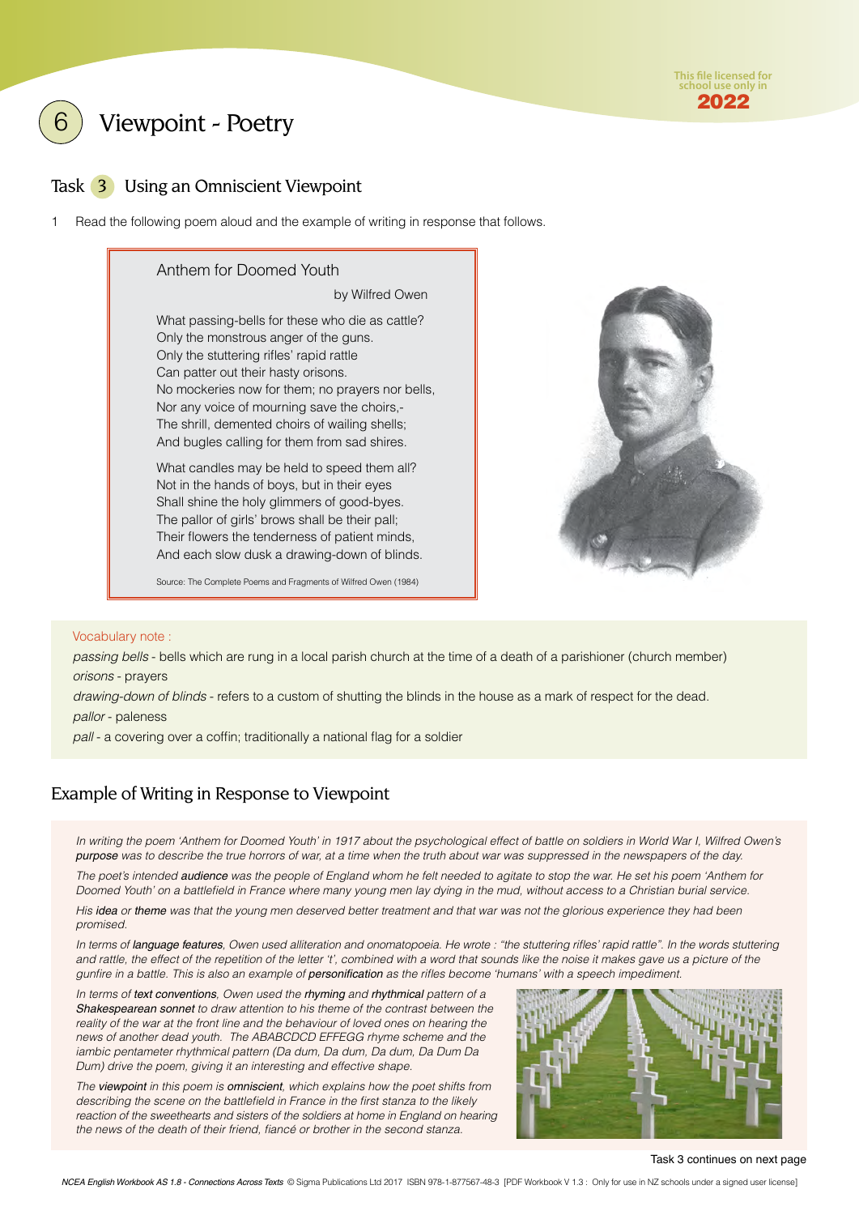

<span id="page-2-0"></span>Viewpoint - Poetry

### Task 3 Using an Omniscient Viewpoint

1 Read the following poem aloud and the example of writing in response that follows.

#### Anthem for Doomed Youth

by Wilfred Owen

What passing-bells for these who die as cattle? Only the monstrous anger of the guns. Only the stuttering rifles' rapid rattle Can patter out their hasty orisons. No mockeries now for them; no prayers nor bells, Nor any voice of mourning save the choirs,- The shrill, demented choirs of wailing shells; And bugles calling for them from sad shires.

What candles may be held to speed them all? Not in the hands of boys, but in their eyes Shall shine the holy glimmers of good-byes. The pallor of girls' brows shall be their pall; Their flowers the tenderness of patient minds, And each slow dusk a drawing-down of blinds.

Source: The Complete Poems and Fragments of Wilfred Owen (1984)



#### Vocabulary note :

*passing bells* - bells which are rung in a local parish church at the time of a death of a parishioner (church member) *orisons* - prayers

*drawing-down of blinds* - refers to a custom of shutting the blinds in the house as a mark of respect for the dead. *pallor* - paleness

*pall* - a covering over a coffin; traditionally a national flag for a soldier

### Example of Writing in Response to Viewpoint

In writing the poem 'Anthem for Doomed Youth' in 1917 about the psychological effect of battle on soldiers in World War I, Wilfred Owen's *purpose was to describe the true horrors of war, at a time when the truth about war was suppressed in the newspapers of the day.* 

*The poet's intended audience was the people of England whom he felt needed to agitate to stop the war. He set his poem 'Anthem for Doomed Youth' on a battlefield in France where many young men lay dying in the mud, without access to a Christian burial service.* 

*His idea or theme was that the young men deserved better treatment and that war was not the glorious experience they had been promised.* 

*In terms of language features, Owen used alliteration and onomatopoeia. He wrote : "the stuttering rifles' rapid rattle". In the words stuttering*  and rattle, the effect of the repetition of the letter 't', combined with a word that sounds like the noise it makes gave us a picture of the *gunfire in a battle. This is also an example of personification as the rifles become 'humans' with a speech impediment.* 

*In terms of text conventions, Owen used the rhyming and rhythmical pattern of a Shakespearean sonnet to draw attention to his theme of the contrast between the reality of the war at the front line and the behaviour of loved ones on hearing the news of another dead youth. The ABABCDCD EFFEGG rhyme scheme and the iambic pentameter rhythmical pattern (Da dum, Da dum, Da dum, Da Dum Da Dum) drive the poem, giving it an interesting and effective shape.* 

*The viewpoint in this poem is omniscient, which explains how the poet shifts from describing the scene on the battlefield in France in the first stanza to the likely reaction of the sweethearts and sisters of the soldiers at home in England on hearing the news of the death of their friend, fiancé or brother in the second stanza.*



Task 3 continues on next page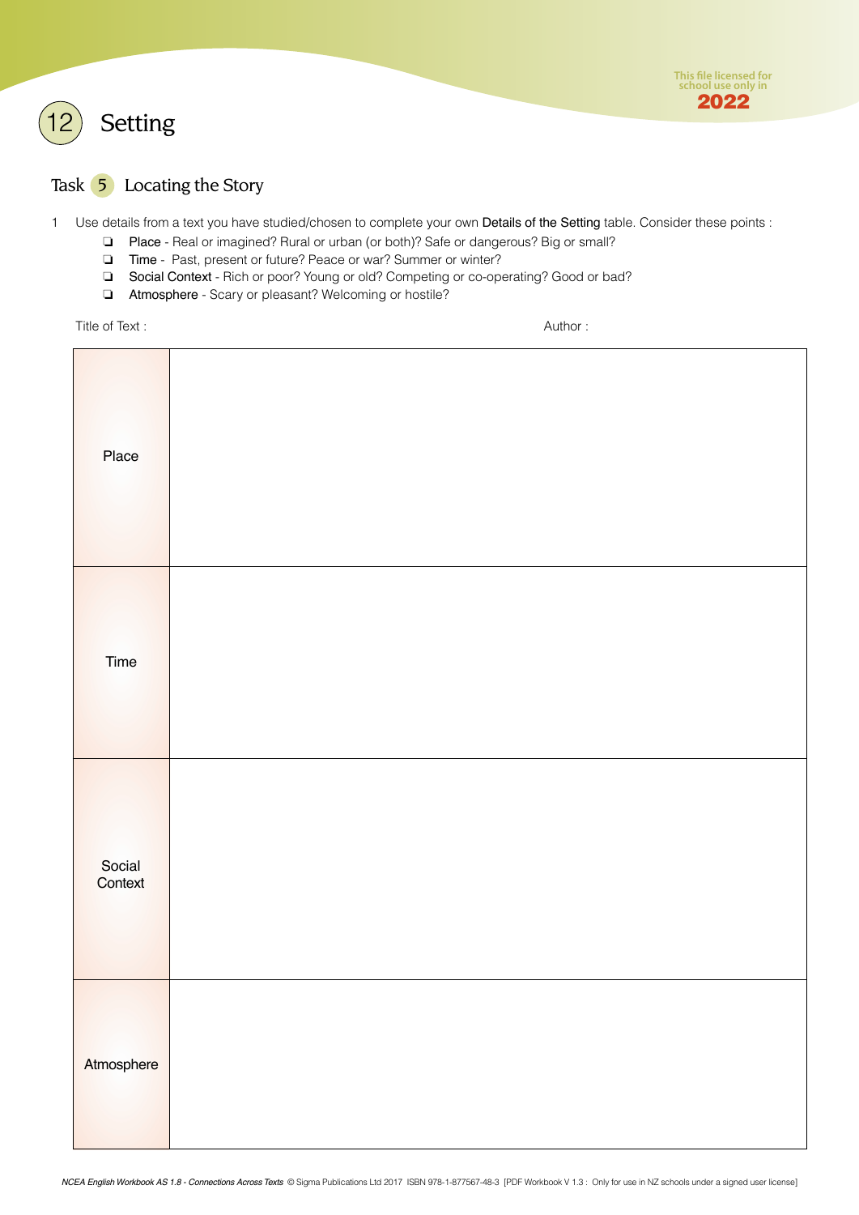<span id="page-3-0"></span>



### Task 5 Locating the Story

1 Use details from a text you have studied/chosen to complete your own Details of the Setting table. Consider these points :

- ❏ Place Real or imagined? Rural or urban (or both)? Safe or dangerous? Big or small?
- ❏ Time Past, present or future? Peace or war? Summer or winter?
- ❏ Social Context Rich or poor? Young or old? Competing or co-operating? Good or bad?
- ❏ Atmosphere Scary or pleasant? Welcoming or hostile?

Title of Text : Author : Author : Author : Author : Author : Author : Author : Author : Author : Author : Author : Author : Author : Author : Author : Author : Author : Author : Author : Author : Author : Author : Author :

| Place             |  |
|-------------------|--|
| Time              |  |
| Social<br>Context |  |
| Atmosphere        |  |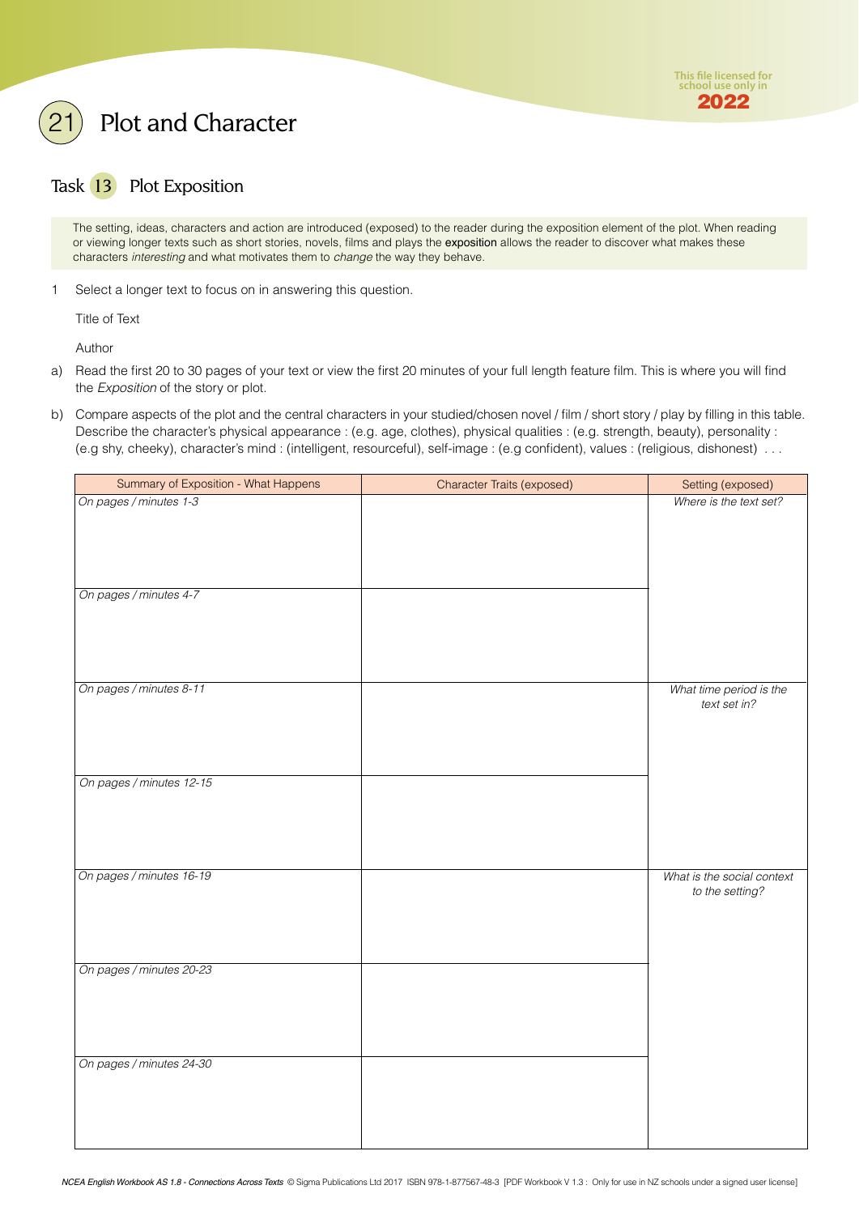

## <span id="page-4-0"></span>Plot and Character

### Task 13 Plot Exposition

The setting, ideas, characters and action are introduced (exposed) to the reader during the exposition element of the plot. When reading or viewing longer texts such as short stories, novels, films and plays the exposition allows the reader to discover what makes these characters *interesting* and what motivates them to *change* the way they behave.

1 Select a longer text to focus on in answering this question.

Title of Text

Author

- a) Read the first 20 to 30 pages of your text or view the first 20 minutes of your full length feature film. This is where you will find the *Exposition* of the story or plot.
- b) Compare aspects of the plot and the central characters in your studied/chosen novel / film / short story / play by filling in this table. Describe the character's physical appearance : (e.g. age, clothes), physical qualities : (e.g. strength, beauty), personality : (e.g shy, cheeky), character's mind : (intelligent, resourceful), self-image : (e.g confident), values : (religious, dishonest) . . .

| Summary of Exposition - What Happens | Character Traits (exposed) | Setting (exposed)                             |
|--------------------------------------|----------------------------|-----------------------------------------------|
| On pages / minutes 1-3               |                            | Where is the text set?                        |
| On pages / minutes 4-7               |                            |                                               |
| On pages / minutes 8-11              |                            | What time period is the<br>text set in?       |
| On pages / minutes 12-15             |                            |                                               |
| On pages / minutes 16-19             |                            | What is the social context<br>to the setting? |
| On pages / minutes 20-23             |                            |                                               |
| On pages / minutes 24-30             |                            |                                               |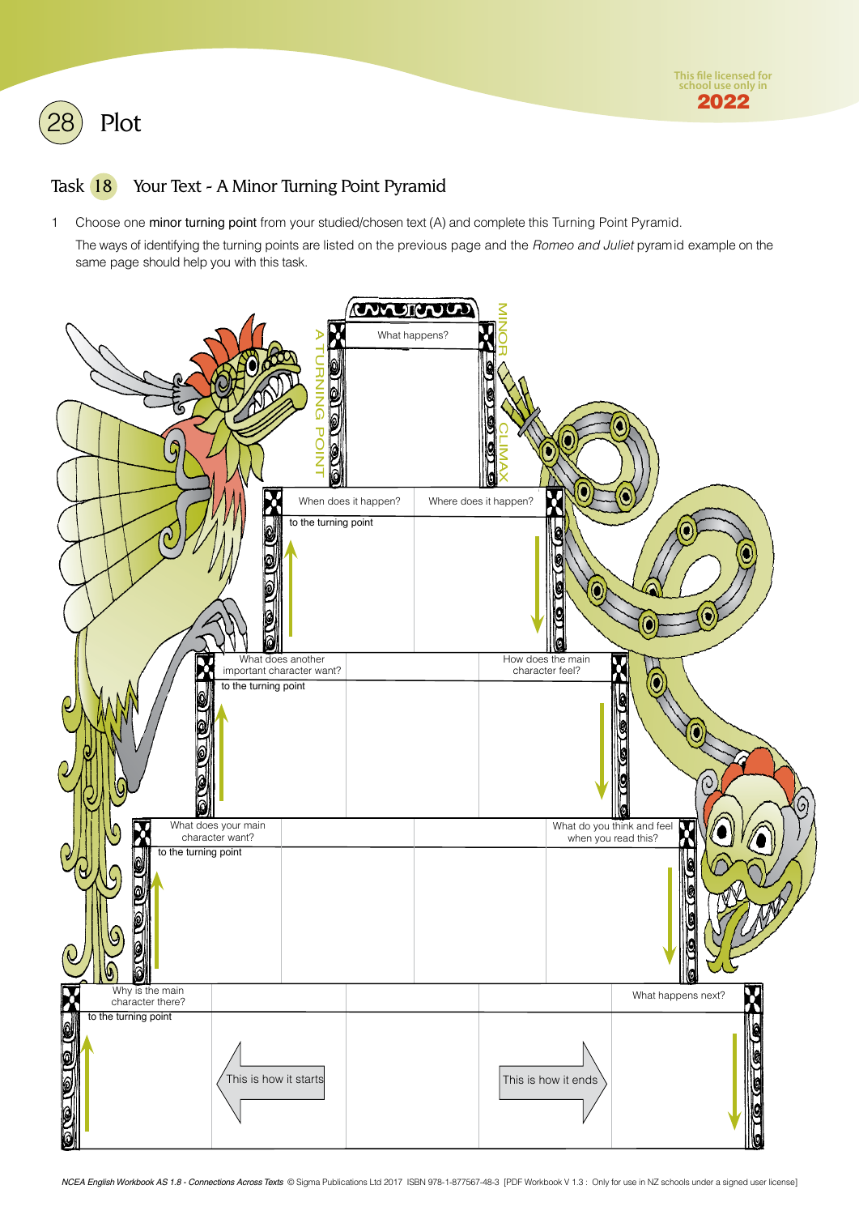<span id="page-5-0"></span>

### Task 18 Your Text - A Minor Turning Point Pyramid

1 Choose one minor turning point from your studied/chosen text (A) and complete this Turning Point Pyramid.

The ways of identifying the turning points are listed on the previous page and the *Romeo and Juliet* pyramid example on the same page should help you with this task.

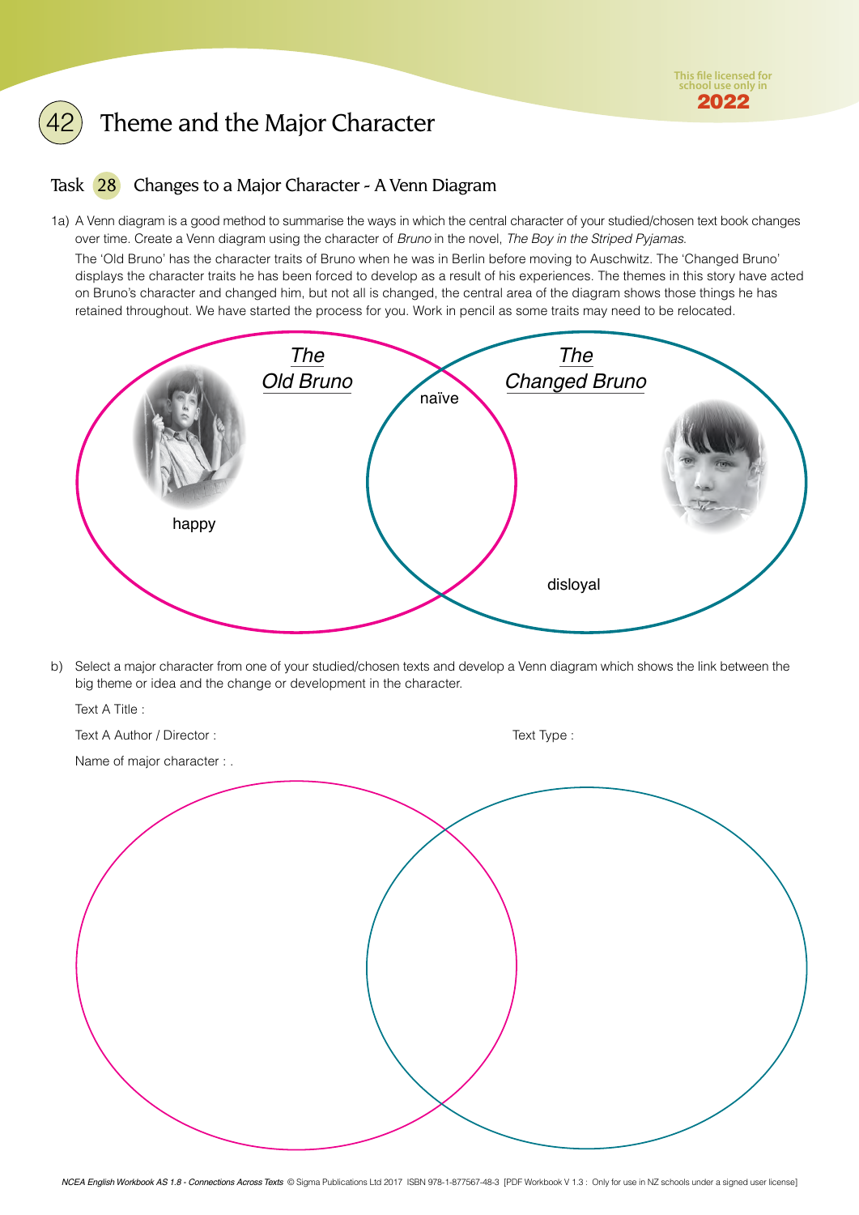### <span id="page-6-0"></span>Theme and the Major Character

### Task 28 Changes to a Major Character - A Venn Diagram

1a) A Venn diagram is a good method to summarise the ways in which the central character of your studied/chosen text book changes over time. Create a Venn diagram using the character of *Bruno* in the novel, *The Boy in the Striped Pyjamas*.

The 'Old Bruno' has the character traits of Bruno when he was in Berlin before moving to Auschwitz. The 'Changed Bruno' displays the character traits he has been forced to develop as a result of his experiences. The themes in this story have acted on Bruno's character and changed him, but not all is changed, the central area of the diagram shows those things he has retained throughout. We have started the process for you. Work in pencil as some traits may need to be relocated.



b) Select a major character from one of your studied/chosen texts and develop a Venn diagram which shows the link between the big theme or idea and the change or development in the character.

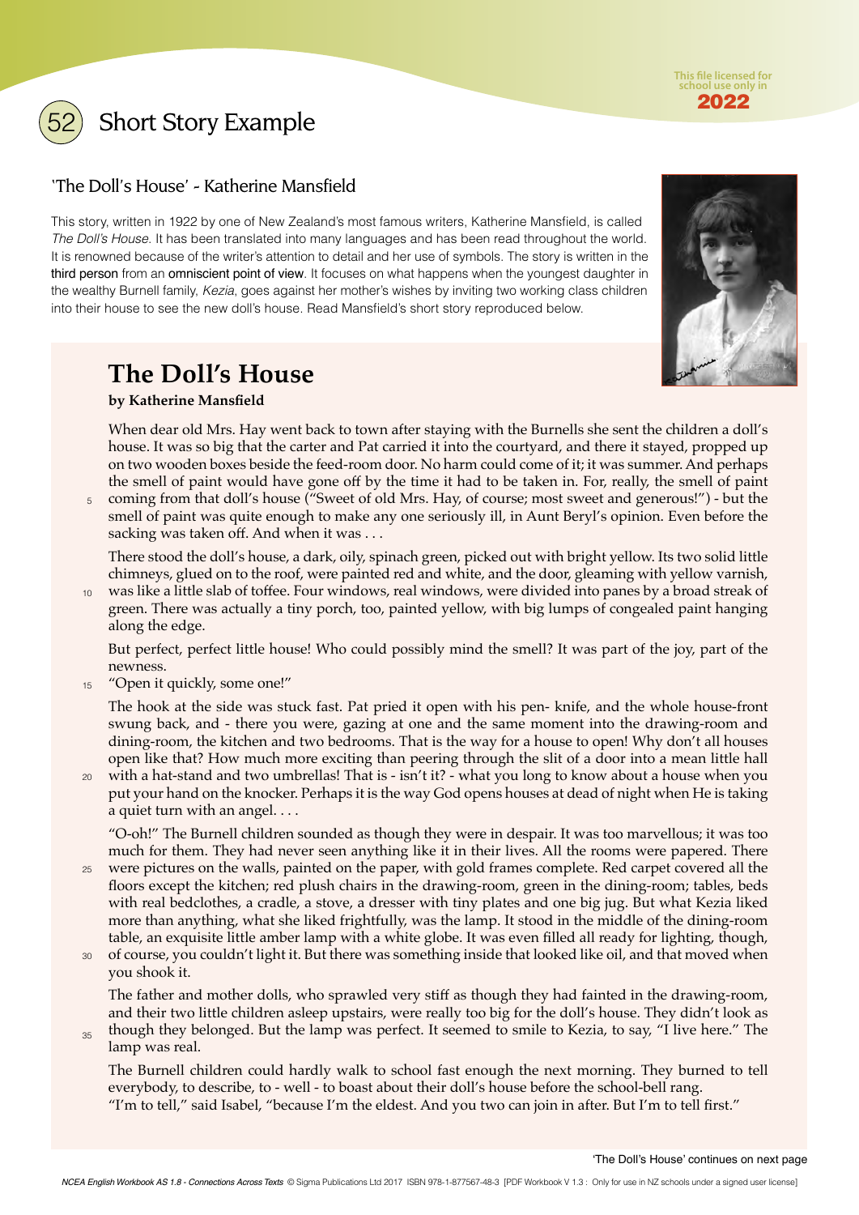**This file licensed for school use only in** 2022

<span id="page-7-0"></span>

Short Story Example

### 'The Doll's House' - Katherine Mansfield

This story, written in 1922 by one of New Zealand's most famous writers, Katherine Mansfield, is called *The Doll's House*. It has been translated into many languages and has been read throughout the world. It is renowned because of the writer's attention to detail and her use of symbols. The story is written in the third person from an omniscient point of view. It focuses on what happens when the youngest daughter in the wealthy Burnell family, *Kezia*, goes against her mother's wishes by inviting two working class children into their house to see the new doll's house. Read Mansfield's short story reproduced below.



### **The Doll's House**

### **by Katherine Mansfield**

When dear old Mrs. Hay went back to town after staying with the Burnells she sent the children a doll's house. It was so big that the carter and Pat carried it into the courtyard, and there it stayed, propped up on two wooden boxes beside the feed-room door. No harm could come of it; it was summer. And perhaps the smell of paint would have gone off by the time it had to be taken in. For, really, the smell of paint

coming from that doll's house ("Sweet of old Mrs. Hay, of course; most sweet and generous!") - but the smell of paint was quite enough to make any one seriously ill, in Aunt Beryl's opinion. Even before the sacking was taken off. And when it was . . . 5

There stood the doll's house, a dark, oily, spinach green, picked out with bright yellow. Its two solid little chimneys, glued on to the roof, were painted red and white, and the door, gleaming with yellow varnish,

was like a little slab of toffee. Four windows, real windows, were divided into panes by a broad streak of green. There was actually a tiny porch, too, painted yellow, with big lumps of congealed paint hanging along the edge. 10

But perfect, perfect little house! Who could possibly mind the smell? It was part of the joy, part of the newness.

"Open it quickly, some one!" 15

> The hook at the side was stuck fast. Pat pried it open with his pen- knife, and the whole house-front swung back, and - there you were, gazing at one and the same moment into the drawing-room and dining-room, the kitchen and two bedrooms. That is the way for a house to open! Why don't all houses open like that? How much more exciting than peering through the slit of a door into a mean little hall

with a hat-stand and two umbrellas! That is - isn't it? - what you long to know about a house when you 20 put your hand on the knocker. Perhaps it is the way God opens houses at dead of night when He is taking a quiet turn with an angel. . . .

"O-oh!" The Burnell children sounded as though they were in despair. It was too marvellous; it was too much for them. They had never seen anything like it in their lives. All the rooms were papered. There

- were pictures on the walls, painted on the paper, with gold frames complete. Red carpet covered all the 25 floors except the kitchen; red plush chairs in the drawing-room, green in the dining-room; tables, beds with real bedclothes, a cradle, a stove, a dresser with tiny plates and one big jug. But what Kezia liked more than anything, what she liked frightfully, was the lamp. It stood in the middle of the dining-room table, an exquisite little amber lamp with a white globe. It was even filled all ready for lighting, though,
- of course, you couldn't light it. But there was something inside that looked like oil, and that moved when you shook it. 30

The father and mother dolls, who sprawled very stiff as though they had fainted in the drawing-room, and their two little children asleep upstairs, were really too big for the doll's house. They didn't look as

though they belonged. But the lamp was perfect. It seemed to smile to Kezia, to say, "I live here." The lamp was real. 35

The Burnell children could hardly walk to school fast enough the next morning. They burned to tell everybody, to describe, to - well - to boast about their doll's house before the school-bell rang. "I'm to tell," said Isabel, "because I'm the eldest. And you two can join in after. But I'm to tell first."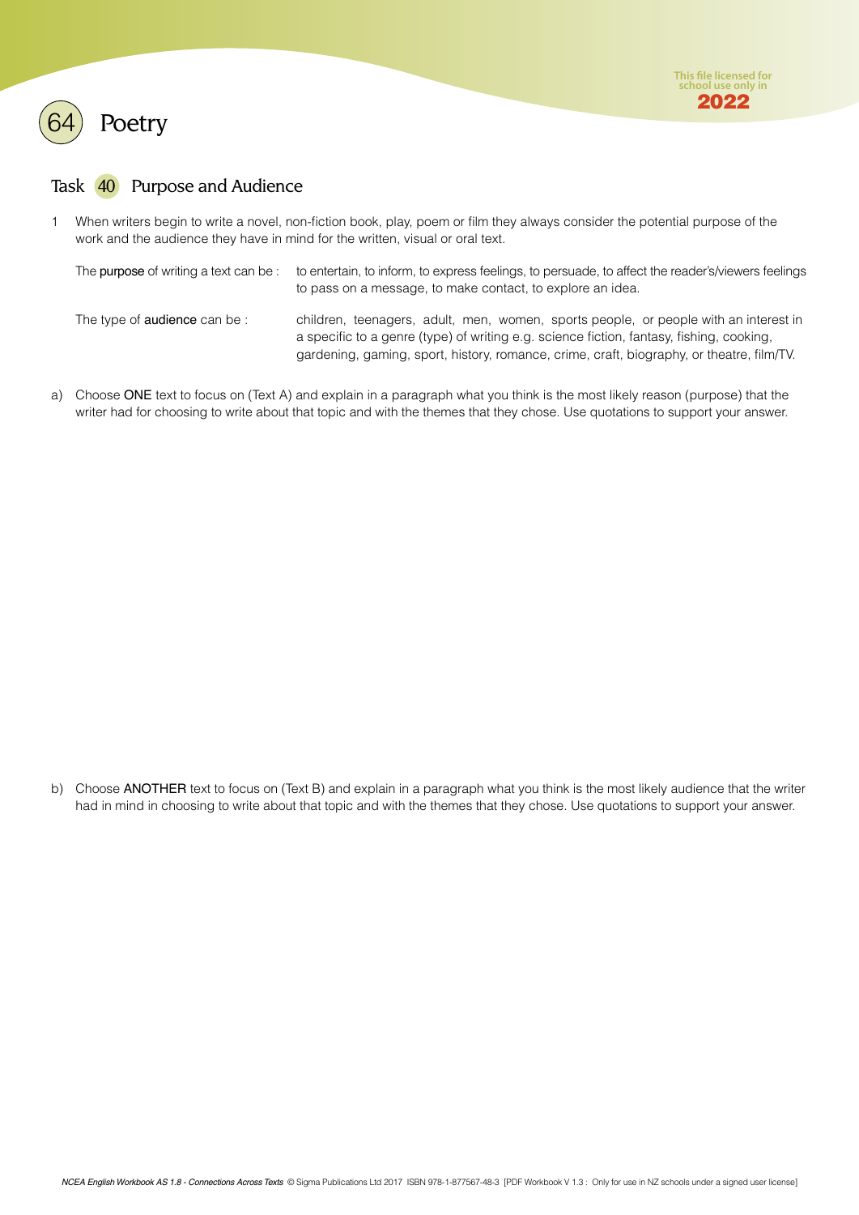<span id="page-8-0"></span>

### Task 40 Purpose and Audience

1 When writers begin to write a novel, non-fiction book, play, poem or film they always consider the potential purpose of the work and the audience they have in mind for the written, visual or oral text.

| The purpose of writing a text can be: to entertain, to inform, to express feelings, to persuade, to affect the reader's/viewers feelings |
|------------------------------------------------------------------------------------------------------------------------------------------|
| to pass on a message, to make contact, to explore an idea.                                                                               |
|                                                                                                                                          |

The type of audience can be : children, teenagers, adult, men, women, sports people, or people with an interest in a specific to a genre (type) of writing e.g. science fiction, fantasy, fishing, cooking, gardening, gaming, sport, history, romance, crime, craft, biography, or theatre, film/TV.

a) Choose ONE text to focus on (Text A) and explain in a paragraph what you think is the most likely reason (purpose) that the writer had for choosing to write about that topic and with the themes that they chose. Use quotations to support your answer.

b) Choose ANOTHER text to focus on (Text B) and explain in a paragraph what you think is the most likely audience that the writer had in mind in choosing to write about that topic and with the themes that they chose. Use quotations to support your answer.